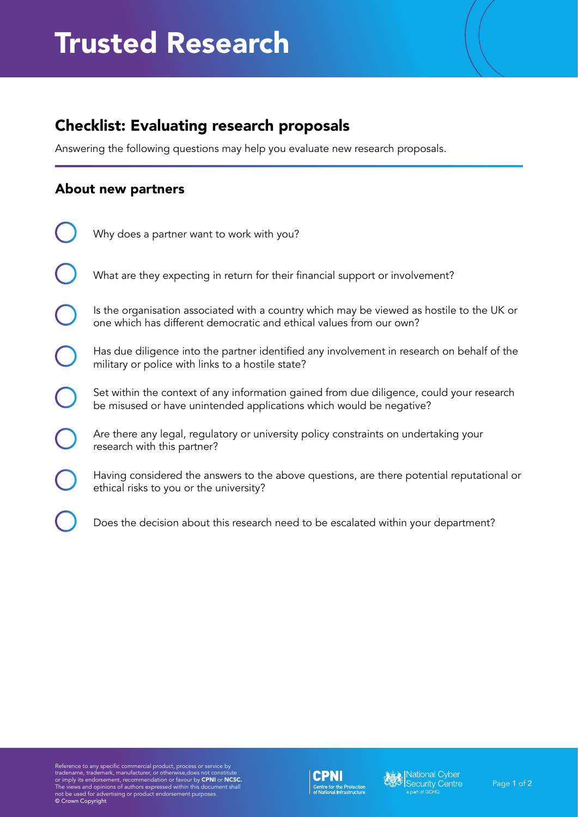## Checklist: Evaluating research proposals

Answering the following questions may help you evaluate new research proposals.

## About new partners

| Why does a partner want to work with you?                                                                                                                        |
|------------------------------------------------------------------------------------------------------------------------------------------------------------------|
| What are they expecting in return for their financial support or involvement?                                                                                    |
| Is the organisation associated with a country which may be viewed as hostile to the UK or<br>one which has different democratic and ethical values from our own? |
| Has due diligence into the partner identified any involvement in research on behalf of the<br>military or police with links to a hostile state?                  |
| Set within the context of any information gained from due diligence, could your research<br>be misused or have unintended applications which would be negative?  |
| Are there any legal, regulatory or university policy constraints on undertaking your<br>research with this partner?                                              |
| Having considered the answers to the above questions, are there potential reputational or<br>ethical risks to you or the university?                             |
| Does the decision about this research need to be escalated within your department?                                                                               |

Reference to any specific commercial product, process or service by<br>tradename, trademark, manufacturer, or otherwise,does not constitute<br>or imply its endorsement, recommendation or favour by **CPNI** or **NCSC.**<br>The views and



**All Strategiers**<br>Security Centre